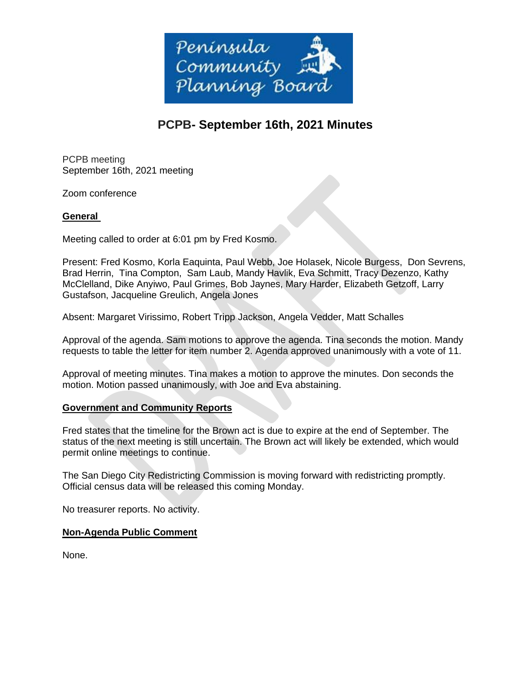

# **PCPB- September 16th, 2021 Minutes**

PCPB meeting September 16th, 2021 meeting

Zoom conference

# **General**

Meeting called to order at 6:01 pm by Fred Kosmo.

Present: Fred Kosmo, Korla Eaquinta, Paul Webb, Joe Holasek, Nicole Burgess, Don Sevrens, Brad Herrin, Tina Compton, Sam Laub, Mandy Havlik, Eva Schmitt, Tracy Dezenzo, Kathy McClelland, Dike Anyiwo, Paul Grimes, Bob Jaynes, Mary Harder, Elizabeth Getzoff, Larry Gustafson, Jacqueline Greulich, Angela Jones

Absent: Margaret Virissimo, Robert Tripp Jackson, Angela Vedder, Matt Schalles

Approval of the agenda. Sam motions to approve the agenda. Tina seconds the motion. Mandy requests to table the letter for item number 2. Agenda approved unanimously with a vote of 11.

Approval of meeting minutes. Tina makes a motion to approve the minutes. Don seconds the motion. Motion passed unanimously, with Joe and Eva abstaining.

## **Government and Community Reports**

Fred states that the timeline for the Brown act is due to expire at the end of September. The status of the next meeting is still uncertain. The Brown act will likely be extended, which would permit online meetings to continue.

The San Diego City Redistricting Commission is moving forward with redistricting promptly. Official census data will be released this coming Monday.

No treasurer reports. No activity.

## **Non-Agenda Public Comment**

None.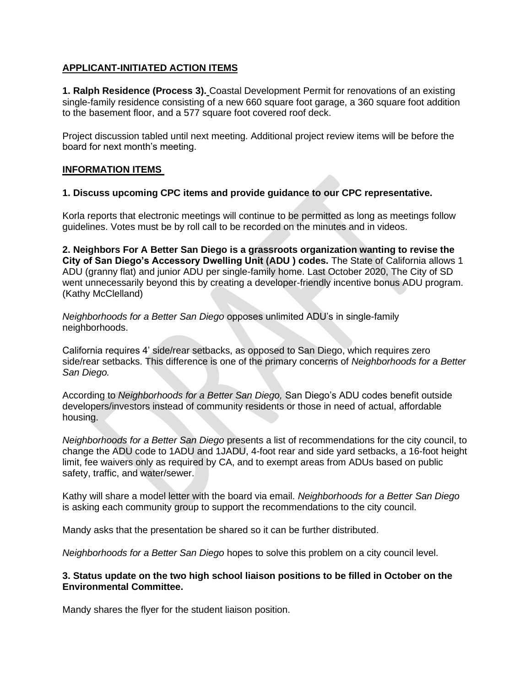# **APPLICANT-INITIATED ACTION ITEMS**

**1. Ralph Residence (Process 3).** Coastal Development Permit for renovations of an existing single-family residence consisting of a new 660 square foot garage, a 360 square foot addition to the basement floor, and a 577 square foot covered roof deck.

Project discussion tabled until next meeting. Additional project review items will be before the board for next month's meeting.

#### **INFORMATION ITEMS**

#### **1. Discuss upcoming CPC items and provide guidance to our CPC representative.**

Korla reports that electronic meetings will continue to be permitted as long as meetings follow guidelines. Votes must be by roll call to be recorded on the minutes and in videos.

**2. Neighbors For A Better San Diego is a grassroots organization wanting to revise the City of San Diego's Accessory Dwelling Unit (ADU ) codes.** The State of California allows 1 ADU (granny flat) and junior ADU per single-family home. Last October 2020, The City of SD went unnecessarily beyond this by creating a developer-friendly incentive bonus ADU program. (Kathy McClelland)

*Neighborhoods for a Better San Diego* opposes unlimited ADU's in single-family neighborhoods.

California requires 4' side/rear setbacks, as opposed to San Diego, which requires zero side/rear setbacks. This difference is one of the primary concerns of *Neighborhoods for a Better San Diego.*

According to *Neighborhoods for a Better San Diego,* San Diego's ADU codes benefit outside developers/investors instead of community residents or those in need of actual, affordable housing.

*Neighborhoods for a Better San Diego* presents a list of recommendations for the city council, to change the ADU code to 1ADU and 1JADU, 4-foot rear and side yard setbacks, a 16-foot height limit, fee waivers only as required by CA, and to exempt areas from ADUs based on public safety, traffic, and water/sewer.

Kathy will share a model letter with the board via email. *Neighborhoods for a Better San Diego* is asking each community group to support the recommendations to the city council.

Mandy asks that the presentation be shared so it can be further distributed.

*Neighborhoods for a Better San Diego* hopes to solve this problem on a city council level.

#### **3. Status update on the two high school liaison positions to be filled in October on the Environmental Committee.**

Mandy shares the flyer for the student liaison position.